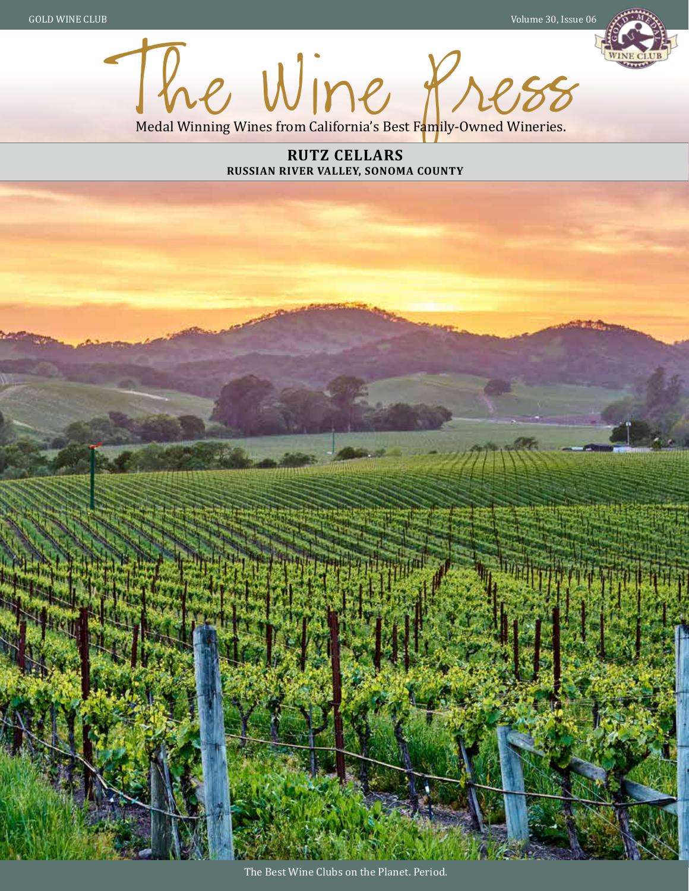GOLD WINE CLUB Volume 30, Issue 06



The Wine P. Medal Winning Wines from California's Best Family-Owned Wineries.

> **RUTZ CELLARS RUSSIAN RIVER VALLEY, SONOMA COUNTY**

The Best Wine Clubs on the Planet. Period.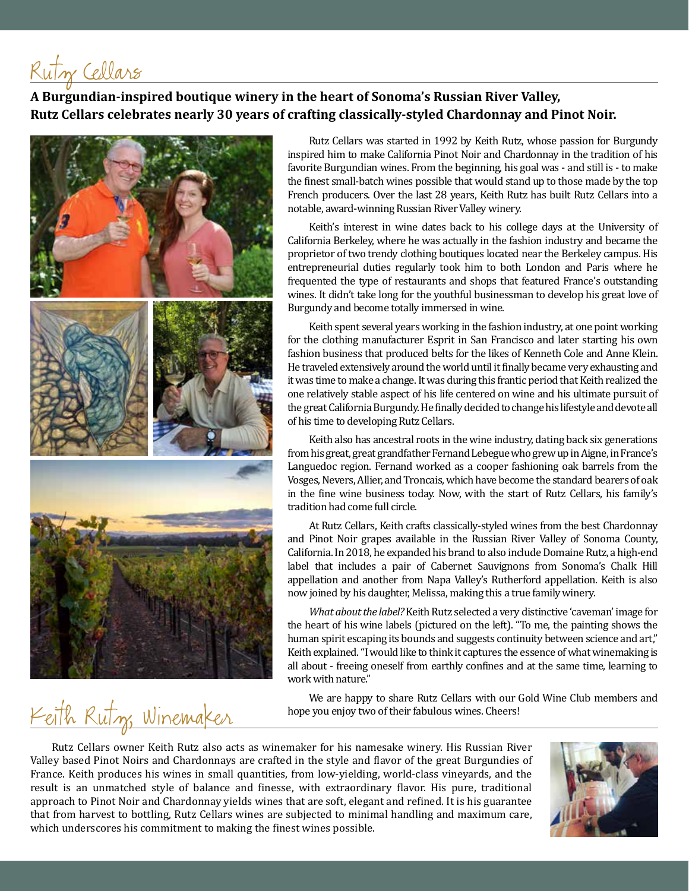Rutz Cellars

#### **A Burgundian-inspired boutique winery in the heart of Sonoma's Russian River Valley, Rutz Cellars celebrates nearly 30 years of crafting classically-styled Chardonnay and Pinot Noir.**



Keith Rutz Winemaker

Rutz Cellars was started in 1992 by Keith Rutz, whose passion for Burgundy inspired him to make California Pinot Noir and Chardonnay in the tradition of his favorite Burgundian wines. From the beginning, his goal was - and still is - to make the finest small-batch wines possible that would stand up to those made by the top French producers. Over the last 28 years, Keith Rutz has built Rutz Cellars into a notable, award-winning Russian River Valley winery.

Keith's interest in wine dates back to his college days at the University of California Berkeley, where he was actually in the fashion industry and became the proprietor of two trendy clothing boutiques located near the Berkeley campus. His entrepreneurial duties regularly took him to both London and Paris where he frequented the type of restaurants and shops that featured France's outstanding wines. It didn't take long for the youthful businessman to develop his great love of Burgundy and become totally immersed in wine.

Keith spent several years working in the fashion industry, at one point working for the clothing manufacturer Esprit in San Francisco and later starting his own fashion business that produced belts for the likes of Kenneth Cole and Anne Klein. He traveled extensively around the world until it finally became very exhausting and it was time to make a change. It was during this frantic period that Keith realized the one relatively stable aspect of his life centered on wine and his ultimate pursuit of the great California Burgundy. He finally decided to change his lifestyle and devote all of his time to developing Rutz Cellars.

Keith also has ancestral roots in the wine industry, dating back six generations from his great, great grandfather Fernand Lebegue who grew up in Aigne, in France's Languedoc region. Fernand worked as a cooper fashioning oak barrels from the Vosges, Nevers, Allier, and Troncais, which have become the standard bearers of oak in the fine wine business today. Now, with the start of Rutz Cellars, his family's tradition had come full circle.

At Rutz Cellars, Keith crafts classically-styled wines from the best Chardonnay and Pinot Noir grapes available in the Russian River Valley of Sonoma County, California. In 2018, he expanded his brand to also include Domaine Rutz, a high-end label that includes a pair of Cabernet Sauvignons from Sonoma's Chalk Hill appellation and another from Napa Valley's Rutherford appellation. Keith is also now joined by his daughter, Melissa, making this a true family winery.

*What about the label?* Keith Rutz selected a very distinctive 'caveman' image for the heart of his wine labels (pictured on the left). "To me, the painting shows the human spirit escaping its bounds and suggests continuity between science and art," Keith explained. "I would like to think it captures the essence of what winemaking is all about - freeing oneself from earthly confines and at the same time, learning to work with nature."

We are happy to share Rutz Cellars with our Gold Wine Club members and hope you enjoy two of their fabulous wines. Cheers!

Rutz Cellars owner Keith Rutz also acts as winemaker for his namesake winery. His Russian River Valley based Pinot Noirs and Chardonnays are crafted in the style and flavor of the great Burgundies of France. Keith produces his wines in small quantities, from low-yielding, world-class vineyards, and the result is an unmatched style of balance and finesse, with extraordinary flavor. His pure, traditional approach to Pinot Noir and Chardonnay yields wines that are soft, elegant and refined. It is his guarantee that from harvest to bottling, Rutz Cellars wines are subjected to minimal handling and maximum care, which underscores his commitment to making the finest wines possible.

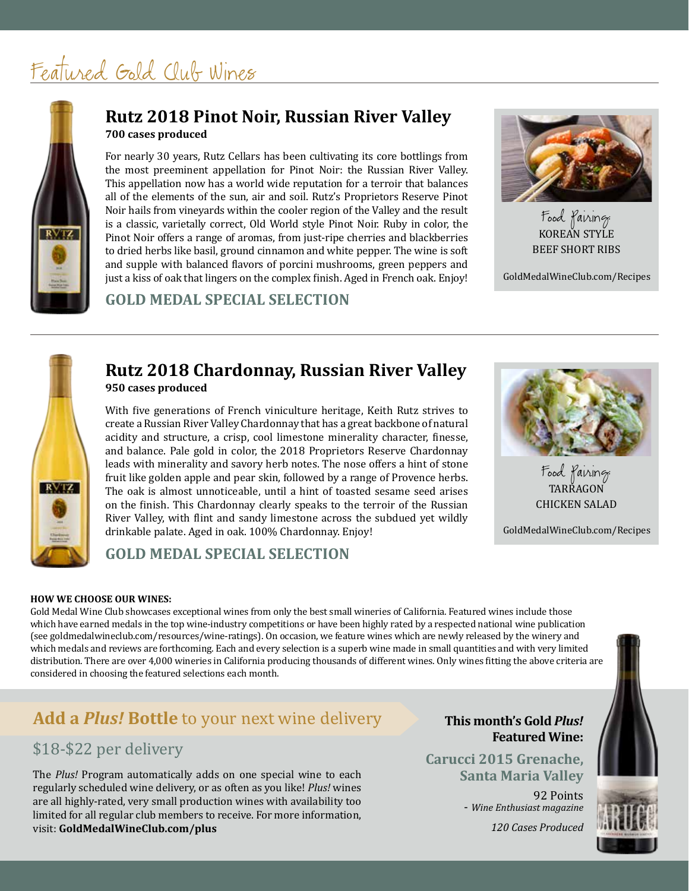# Featured Gold Club Wines



## **700 cases produced Rutz 2018 Pinot Noir, Russian River Valley**

For nearly 30 years, Rutz Cellars has been cultivating its core bottlings from the most preeminent appellation for Pinot Noir: the Russian River Valley. This appellation now has a world wide reputation for a terroir that balances all of the elements of the sun, air and soil. Rutz's Proprietors Reserve Pinot Noir hails from vineyards within the cooler region of the Valley and the result is a classic, varietally correct, Old World style Pinot Noir. Ruby in color, the Pinot Noir offers a range of aromas, from just-ripe cherries and blackberries to dried herbs like basil, ground cinnamon and white pepper. The wine is soft and supple with balanced flavors of porcini mushrooms, green peppers and just a kiss of oak that lingers on the complex finish. Aged in French oak. Enjoy!

### **GOLD MEDAL SPECIAL SELECTION**



KOREAN STYLE BEEF SHORT RIBS Food Pairing:

GoldMedalWineClub.com/Recipes



### **950 cases produced Rutz 2018 Chardonnay, Russian River Valley**

With five generations of French viniculture heritage, Keith Rutz strives to create a Russian River Valley Chardonnay that has a great backbone of natural acidity and structure, a crisp, cool limestone minerality character, finesse, and balance. Pale gold in color, the 2018 Proprietors Reserve Chardonnay leads with minerality and savory herb notes. The nose offers a hint of stone fruit like golden apple and pear skin, followed by a range of Provence herbs. The oak is almost unnoticeable, until a hint of toasted sesame seed arises on the finish. This Chardonnay clearly speaks to the terroir of the Russian River Valley, with flint and sandy limestone across the subdued yet wildly drinkable palate. Aged in oak. 100% Chardonnay. Enjoy!



TARRAGON CHICKEN SALAD Food Pairing:

GoldMedalWineClub.com/Recipes

## **GOLD MEDAL SPECIAL SELECTION**

#### **HOW WE CHOOSE OUR WINES:**

Gold Medal Wine Club showcases exceptional wines from only the best small wineries of California. Featured wines include those which have earned medals in the top wine-industry competitions or have been highly rated by a respected national wine publication (see goldmedalwineclub.com/resources/wine-ratings). On occasion, we feature wines which are newly released by the winery and which medals and reviews are forthcoming. Each and every selection is a superb wine made in small quantities and with very limited distribution. There are over 4,000 wineries in California producing thousands of different wines. Only wines fitting the above criteria are considered in choosing the featured selections each month.

## **Add a** *Plus!* **Bottle** to your next wine delivery

## \$18-\$22 per delivery

The *Plus!* Program automatically adds on one special wine to each regularly scheduled wine delivery, or as often as you like! *Plus!* wines are all highly-rated, very small production wines with availability too limited for all regular club members to receive. For more information, visit: **GoldMedalWineClub.com/plus**

#### **This month's Gold** *Plus!* **Featured Wine:**

**Carucci 2015 Grenache, Santa Maria Valley**

92 Points - *Wine Enthusiast magazine*

*120 Cases Produced*